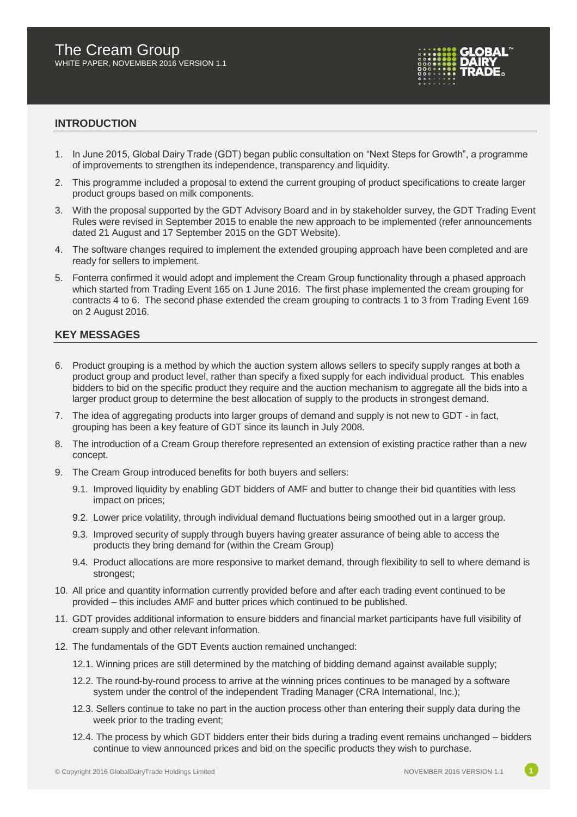

#### **INTRODUCTION**

- 1. In June 2015, Global Dairy Trade (GDT) began public consultation on "Next Steps for Growth", a programme of improvements to strengthen its independence, transparency and liquidity.
- 2. This programme included a proposal to extend the current grouping of product specifications to create larger product groups based on milk components.
- 3. With the proposal supported by the GDT Advisory Board and in by stakeholder survey, the GDT Trading Event Rules were revised in September 2015 to enable the new approach to be implemented (refer announcements dated 21 August and 17 September 2015 on the GDT Website).
- 4. The software changes required to implement the extended grouping approach have been completed and are ready for sellers to implement.
- 5. Fonterra confirmed it would adopt and implement the Cream Group functionality through a phased approach which started from Trading Event 165 on 1 June 2016. The first phase implemented the cream grouping for contracts 4 to 6. The second phase extended the cream grouping to contracts 1 to 3 from Trading Event 169 on 2 August 2016.

#### **KEY MESSAGES**

- 6. Product grouping is a method by which the auction system allows sellers to specify supply ranges at both a product group and product level, rather than specify a fixed supply for each individual product. This enables bidders to bid on the specific product they require and the auction mechanism to aggregate all the bids into a larger product group to determine the best allocation of supply to the products in strongest demand.
- 7. The idea of aggregating products into larger groups of demand and supply is not new to GDT in fact, grouping has been a key feature of GDT since its launch in July 2008.
- 8. The introduction of a Cream Group therefore represented an extension of existing practice rather than a new concept.
- 9. The Cream Group introduced benefits for both buyers and sellers:
	- 9.1. Improved liquidity by enabling GDT bidders of AMF and butter to change their bid quantities with less impact on prices;
	- 9.2. Lower price volatility, through individual demand fluctuations being smoothed out in a larger group.
	- 9.3. Improved security of supply through buyers having greater assurance of being able to access the products they bring demand for (within the Cream Group)
	- 9.4. Product allocations are more responsive to market demand, through flexibility to sell to where demand is strongest;
- 10. All price and quantity information currently provided before and after each trading event continued to be provided – this includes AMF and butter prices which continued to be published.
- 11. GDT provides additional information to ensure bidders and financial market participants have full visibility of cream supply and other relevant information.
- 12. The fundamentals of the GDT Events auction remained unchanged:
	- 12.1. Winning prices are still determined by the matching of bidding demand against available supply;
	- 12.2. The round-by-round process to arrive at the winning prices continues to be managed by a software system under the control of the independent Trading Manager (CRA International, Inc.);
	- 12.3. Sellers continue to take no part in the auction process other than entering their supply data during the week prior to the trading event;
	- 12.4. The process by which GDT bidders enter their bids during a trading event remains unchanged bidders continue to view announced prices and bid on the specific products they wish to purchase.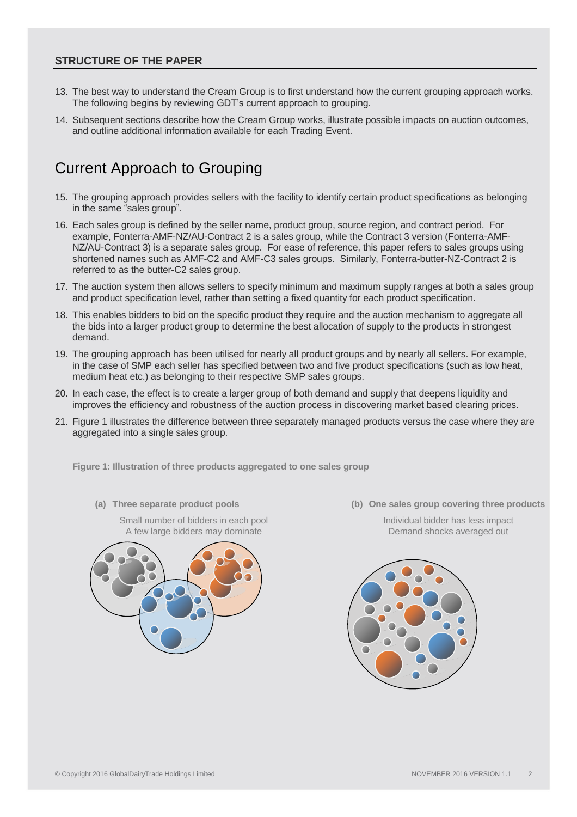#### **STRUCTURE OF THE PAPER**

- 13. The best way to understand the Cream Group is to first understand how the current grouping approach works. The following begins by reviewing GDT's current approach to grouping.
- 14. Subsequent sections describe how the Cream Group works, illustrate possible impacts on auction outcomes, and outline additional information available for each Trading Event.

# Current Approach to Grouping

- 15. The grouping approach provides sellers with the facility to identify certain product specifications as belonging in the same "sales group".
- 16. Each sales group is defined by the seller name, product group, source region, and contract period. For example, Fonterra-AMF-NZ/AU-Contract 2 is a sales group, while the Contract 3 version (Fonterra-AMF-NZ/AU-Contract 3) is a separate sales group. For ease of reference, this paper refers to sales groups using shortened names such as AMF-C2 and AMF-C3 sales groups. Similarly, Fonterra-butter-NZ-Contract 2 is referred to as the butter-C2 sales group.
- 17. The auction system then allows sellers to specify minimum and maximum supply ranges at both a sales group and product specification level, rather than setting a fixed quantity for each product specification.
- 18. This enables bidders to bid on the specific product they require and the auction mechanism to aggregate all the bids into a larger product group to determine the best allocation of supply to the products in strongest demand.
- 19. The grouping approach has been utilised for nearly all product groups and by nearly all sellers. For example, in the case of SMP each seller has specified between two and five product specifications (such as low heat, medium heat etc.) as belonging to their respective SMP sales groups.
- 20. In each case, the effect is to create a larger group of both demand and supply that deepens liquidity and improves the efficiency and robustness of the auction process in discovering market based clearing prices.
- 21. Figure 1 illustrates the difference between three separately managed products versus the case where they are aggregated into a single sales group.

**Figure 1: Illustration of three products aggregated to one sales group**

Small number of bidders in each pool A few large bidders may dominate



**(a) Three separate product pools (b) One sales group covering three products**

Individual bidder has less impact Demand shocks averaged out

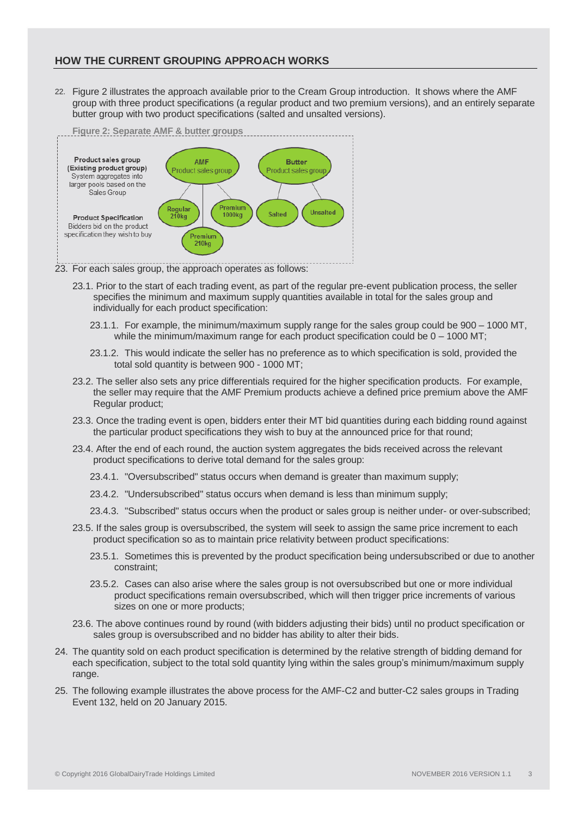### **HOW THE CURRENT GROUPING APPROACH WORKS**

22. Figure 2 illustrates the approach available prior to the Cream Group introduction. It shows where the AMF group with three product specifications (a regular product and two premium versions), and an entirely separate butter group with two product specifications (salted and unsalted versions).



- 23. For each sales group, the approach operates as follows:
	- 23.1. Prior to the start of each trading event, as part of the regular pre-event publication process, the seller specifies the minimum and maximum supply quantities available in total for the sales group and individually for each product specification:
		- 23.1.1. For example, the minimum/maximum supply range for the sales group could be 900 1000 MT, while the minimum/maximum range for each product specification could be  $0 - 1000$  MT;
		- 23.1.2. This would indicate the seller has no preference as to which specification is sold, provided the total sold quantity is between 900 - 1000 MT;
	- 23.2. The seller also sets any price differentials required for the higher specification products. For example, the seller may require that the AMF Premium products achieve a defined price premium above the AMF Regular product;
	- 23.3. Once the trading event is open, bidders enter their MT bid quantities during each bidding round against the particular product specifications they wish to buy at the announced price for that round;
	- 23.4. After the end of each round, the auction system aggregates the bids received across the relevant product specifications to derive total demand for the sales group:
		- 23.4.1. "Oversubscribed" status occurs when demand is greater than maximum supply;
		- 23.4.2. "Undersubscribed" status occurs when demand is less than minimum supply;
		- 23.4.3. "Subscribed" status occurs when the product or sales group is neither under- or over-subscribed;
	- 23.5. If the sales group is oversubscribed, the system will seek to assign the same price increment to each product specification so as to maintain price relativity between product specifications:
		- 23.5.1. Sometimes this is prevented by the product specification being undersubscribed or due to another constraint;
		- 23.5.2. Cases can also arise where the sales group is not oversubscribed but one or more individual product specifications remain oversubscribed, which will then trigger price increments of various sizes on one or more products;
	- 23.6. The above continues round by round (with bidders adjusting their bids) until no product specification or sales group is oversubscribed and no bidder has ability to alter their bids.
- 24. The quantity sold on each product specification is determined by the relative strength of bidding demand for each specification, subject to the total sold quantity lying within the sales group's minimum/maximum supply range.
- 25. The following example illustrates the above process for the AMF-C2 and butter-C2 sales groups in Trading Event 132, held on 20 January 2015.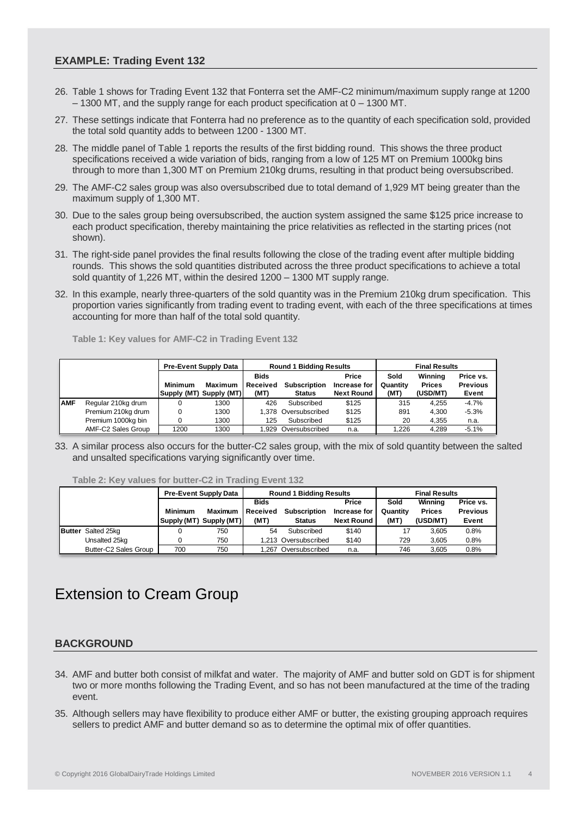#### **EXAMPLE: Trading Event 132**

- 26. Table 1 shows for Trading Event 132 that Fonterra set the AMF-C2 minimum/maximum supply range at 1200 – 1300 MT, and the supply range for each product specification at 0 – 1300 MT.
- 27. These settings indicate that Fonterra had no preference as to the quantity of each specification sold, provided the total sold quantity adds to between 1200 - 1300 MT.
- 28. The middle panel of Table 1 reports the results of the first bidding round. This shows the three product specifications received a wide variation of bids, ranging from a low of 125 MT on Premium 1000kg bins through to more than 1,300 MT on Premium 210kg drums, resulting in that product being oversubscribed.
- 29. The AMF-C2 sales group was also oversubscribed due to total demand of 1,929 MT being greater than the maximum supply of 1,300 MT.
- 30. Due to the sales group being oversubscribed, the auction system assigned the same \$125 price increase to each product specification, thereby maintaining the price relativities as reflected in the starting prices (not shown).
- 31. The right-side panel provides the final results following the close of the trading event after multiple bidding rounds. This shows the sold quantities distributed across the three product specifications to achieve a total sold quantity of 1,226 MT, within the desired 1200 – 1300 MT supply range.
- 32. In this example, nearly three-quarters of the sold quantity was in the Premium 210kg drum specification. This proportion varies significantly from trading event to trading event, with each of the three specifications at times accounting for more than half of the total sold quantity.

**Table 1: Key values for AMF-C2 in Trading Event 132**

|            |                    |                        | <b>Pre-Event Supply Data</b> |                                 | <b>Round 1 Bidding Results</b>       |                                            | <b>Final Results</b>     |                                      |                                       |
|------------|--------------------|------------------------|------------------------------|---------------------------------|--------------------------------------|--------------------------------------------|--------------------------|--------------------------------------|---------------------------------------|
|            |                    | Minimum<br>Supply (MT) | Maximum<br>Supply (MT)       | <b>Bids</b><br>Received<br>(MT) | <b>Subscription</b><br><b>Status</b> | Price<br>Increase for<br><b>Next Round</b> | Sold<br>Quantity<br>(MT) | Winning<br><b>Prices</b><br>(USD/MT) | Price vs.<br><b>Previous</b><br>Event |
| <b>AMF</b> | Regular 210kg drum |                        | 1300                         | 426                             | Subscribed                           | \$125                                      | 315                      | 4.255                                | $-4.7%$                               |
|            | Premium 210kg drum |                        | 1300                         |                                 | 1.378 Oversubscribed                 | \$125                                      | 891                      | 4.300                                | $-5.3%$                               |
|            | Premium 1000kg bin |                        | 1300                         | 125                             | Subscribed                           | \$125                                      | 20                       | 4.355                                | n.a.                                  |
|            | AMF-C2 Sales Group | 1200                   | 1300                         |                                 | 1.929 Oversubscribed                 | n.a.                                       | 1.226                    | 4.289                                | $-5.1%$                               |

33. A similar process also occurs for the butter-C2 sales group, with the mix of sold quantity between the salted and unsalted specifications varying significantly over time.

**Table 2: Key values for butter-C2 in Trading Event 132**

|                           |                | <b>Pre-Event Supply Data</b> |          | <b>Round 1 Bidding Results</b> |                   |          | <b>Final Results</b> |                 |  |
|---------------------------|----------------|------------------------------|----------|--------------------------------|-------------------|----------|----------------------|-----------------|--|
|                           |                |                              |          | <b>Bids</b>                    |                   | Sold     | Winning              | Price vs.       |  |
|                           | <b>Minimum</b> | <b>Maximum</b>               | Received | <b>Subscription</b>            | Increase for      | Quantity | <b>Prices</b>        | <b>Previous</b> |  |
|                           | Supply (MT)    | Supply (MT)                  | (MT)     | <b>Status</b>                  | <b>Next Round</b> | (MT)     | (USD/MT)             | Event           |  |
| <b>Butter</b> Salted 25kg |                | 750                          | 54       | Subscribed                     | \$140             |          | 3.605                | 0.8%            |  |
| Unsalted 25kg             |                | 750                          |          | 1.213 Oversubscribed           | \$140             | 729      | 3.605                | 0.8%            |  |
| Butter-C2 Sales Group     | 700            | 750                          |          | 1.267 Oversubscribed           | n.a.              | 746      | 3.605                | 0.8%            |  |

# Extension to Cream Group

## **BACKGROUND**

- 34. AMF and butter both consist of milkfat and water. The majority of AMF and butter sold on GDT is for shipment two or more months following the Trading Event, and so has not been manufactured at the time of the trading event.
- 35. Although sellers may have flexibility to produce either AMF or butter, the existing grouping approach requires sellers to predict AMF and butter demand so as to determine the optimal mix of offer quantities.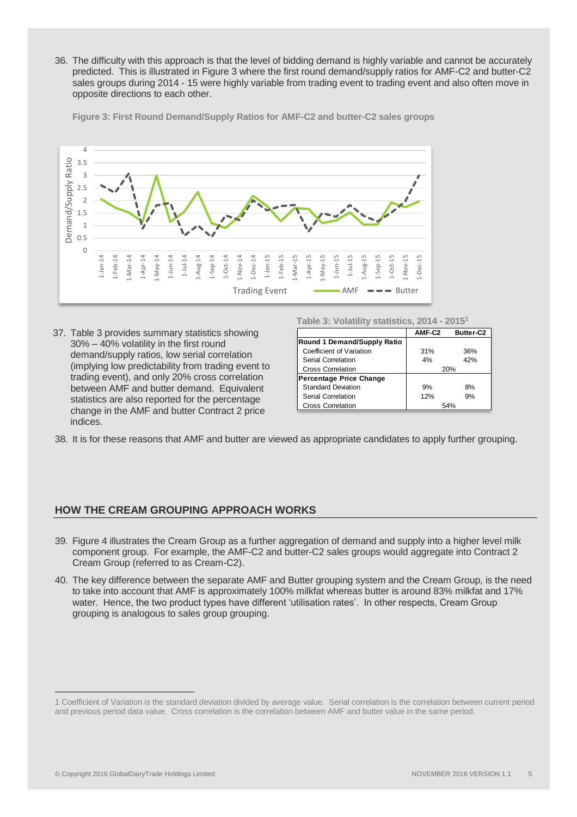36. The difficulty with this approach is that the level of bidding demand is highly variable and cannot be accurately predicted. This is illustrated in Figure 3 where the first round demand/supply ratios for AMF-C2 and butter-C2 sales groups during 2014 - 15 were highly variable from trading event to trading event and also often move in opposite directions to each other.

**Figure 3: First Round Demand/Supply Ratios for AMF-C2 and butter-C2 sales groups**



37. Table 3 provides summary statistics showing 30% – 40% volatility in the first round demand/supply ratios, low serial correlation (implying low predictability from trading event to trading event), and only 20% cross correlation between AMF and butter demand. Equivalent statistics are also reported for the percentage change in the AMF and butter Contract 2 price indices.

**Table 3: Volatility statistics, 2014 - 2015<sup>1</sup>**

|                                | AMF-C2 | <b>Butter-C2</b> |  |
|--------------------------------|--------|------------------|--|
| Round 1 Demand/Supply Ratio    |        |                  |  |
| Coefficient of Variation       | 31%    | 36%              |  |
| Serial Correlation             | 4%     | 42%              |  |
| <b>Cross Correlation</b>       | 20%    |                  |  |
| <b>Percentage Price Change</b> |        |                  |  |
| <b>Standard Deviation</b>      | 9%     | 8%               |  |
| Serial Correlation             | 12%    | 9%               |  |
| <b>Cross Correlation</b>       |        | 54%              |  |

38. It is for these reasons that AMF and butter are viewed as appropriate candidates to apply further grouping.

#### **HOW THE CREAM GROUPING APPROACH WORKS**

- 39. Figure 4 illustrates the Cream Group as a further aggregation of demand and supply into a higher level milk component group. For example, the AMF-C2 and butter-C2 sales groups would aggregate into Contract 2 Cream Group (referred to as Cream-C2).
- 40. The key difference between the separate AMF and Butter grouping system and the Cream Group, is the need to take into account that AMF is approximately 100% milkfat whereas butter is around 83% milkfat and 17% water. Hence, the two product types have different 'utilisation rates'. In other respects, Cream Group grouping is analogous to sales group grouping.

<sup>1</sup> Coefficient of Variation is the standard deviation divided by average value. Serial correlation is the correlation between current period and previous period data value. Cross correlation is the correlation between AMF and butter value in the same period.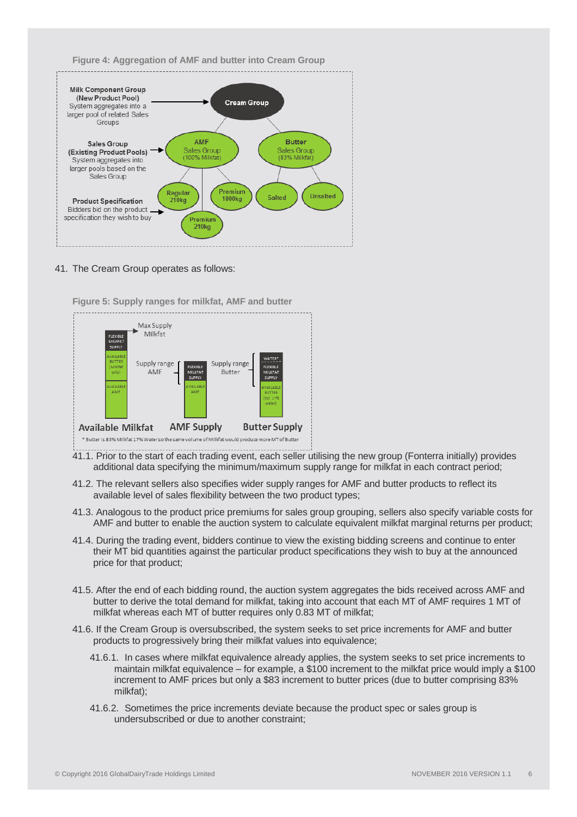



#### 41. The Cream Group operates as follows:



**Figure 5: Supply ranges for milkfat, AMF and butter**

- 41.1. Prior to the start of each trading event, each seller utilising the new group (Fonterra initially) provides additional data specifying the minimum/maximum supply range for milkfat in each contract period;
- 41.2. The relevant sellers also specifies wider supply ranges for AMF and butter products to reflect its available level of sales flexibility between the two product types;
- 41.3. Analogous to the product price premiums for sales group grouping, sellers also specify variable costs for AMF and butter to enable the auction system to calculate equivalent milkfat marginal returns per product;
- 41.4. During the trading event, bidders continue to view the existing bidding screens and continue to enter their MT bid quantities against the particular product specifications they wish to buy at the announced price for that product;
- 41.5. After the end of each bidding round, the auction system aggregates the bids received across AMF and butter to derive the total demand for milkfat, taking into account that each MT of AMF requires 1 MT of milkfat whereas each MT of butter requires only 0.83 MT of milkfat;
- 41.6. If the Cream Group is oversubscribed, the system seeks to set price increments for AMF and butter products to progressively bring their milkfat values into equivalence;
	- 41.6.1. In cases where milkfat equivalence already applies, the system seeks to set price increments to maintain milkfat equivalence – for example, a \$100 increment to the milkfat price would imply a \$100 increment to AMF prices but only a \$83 increment to butter prices (due to butter comprising 83% milkfat);
	- 41.6.2. Sometimes the price increments deviate because the product spec or sales group is undersubscribed or due to another constraint;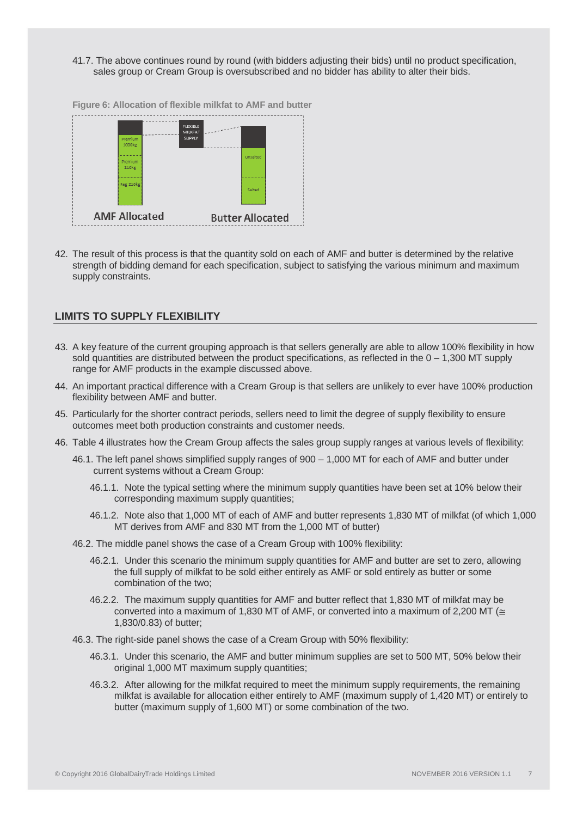41.7. The above continues round by round (with bidders adjusting their bids) until no product specification, sales group or Cream Group is oversubscribed and no bidder has ability to alter their bids.



**Figure 6: Allocation of flexible milkfat to AMF and butter**

42. The result of this process is that the quantity sold on each of AMF and butter is determined by the relative strength of bidding demand for each specification, subject to satisfying the various minimum and maximum supply constraints.

#### **LIMITS TO SUPPLY FLEXIBILITY**

- 43. A key feature of the current grouping approach is that sellers generally are able to allow 100% flexibility in how sold quantities are distributed between the product specifications, as reflected in the  $0 - 1,300$  MT supply range for AMF products in the example discussed above.
- 44. An important practical difference with a Cream Group is that sellers are unlikely to ever have 100% production flexibility between AMF and butter.
- 45. Particularly for the shorter contract periods, sellers need to limit the degree of supply flexibility to ensure outcomes meet both production constraints and customer needs.
- 46. Table 4 illustrates how the Cream Group affects the sales group supply ranges at various levels of flexibility:
	- 46.1. The left panel shows simplified supply ranges of 900 1,000 MT for each of AMF and butter under current systems without a Cream Group:
		- 46.1.1. Note the typical setting where the minimum supply quantities have been set at 10% below their corresponding maximum supply quantities;
		- 46.1.2. Note also that 1,000 MT of each of AMF and butter represents 1,830 MT of milkfat (of which 1,000 MT derives from AMF and 830 MT from the 1,000 MT of butter)
	- 46.2. The middle panel shows the case of a Cream Group with 100% flexibility:
		- 46.2.1. Under this scenario the minimum supply quantities for AMF and butter are set to zero, allowing the full supply of milkfat to be sold either entirely as AMF or sold entirely as butter or some combination of the two;
		- 46.2.2. The maximum supply quantities for AMF and butter reflect that 1,830 MT of milkfat may be converted into a maximum of 1,830 MT of AMF, or converted into a maximum of 2,200 MT ( $\approx$ 1,830/0.83) of butter;
	- 46.3. The right-side panel shows the case of a Cream Group with 50% flexibility:
		- 46.3.1. Under this scenario, the AMF and butter minimum supplies are set to 500 MT, 50% below their original 1,000 MT maximum supply quantities;
		- 46.3.2. After allowing for the milkfat required to meet the minimum supply requirements, the remaining milkfat is available for allocation either entirely to AMF (maximum supply of 1,420 MT) or entirely to butter (maximum supply of 1,600 MT) or some combination of the two.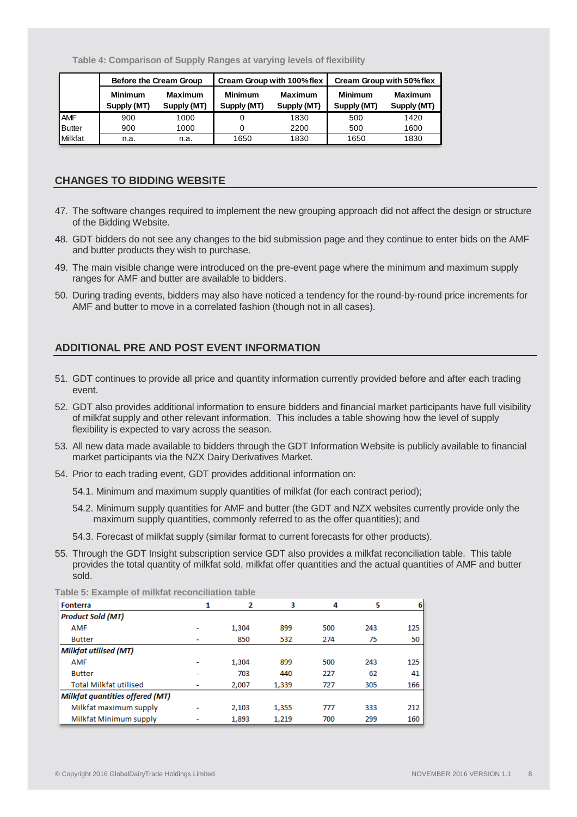**Table 4: Comparison of Supply Ranges at varying levels of flexibility** 

|               |                               | Before the Cream Group        |                               | Cream Group with 100% flex    | Cream Group with 50% flex     |                               |  |
|---------------|-------------------------------|-------------------------------|-------------------------------|-------------------------------|-------------------------------|-------------------------------|--|
|               | <b>Minimum</b><br>Supply (MT) | <b>Maximum</b><br>Supply (MT) | <b>Minimum</b><br>Supply (MT) | <b>Maximum</b><br>Supply (MT) | <b>Minimum</b><br>Supply (MT) | <b>Maximum</b><br>Supply (MT) |  |
| <b>AMF</b>    | 900                           | 1000                          |                               | 1830                          | 500                           | 1420                          |  |
| <b>Butter</b> | 900                           | 1000                          |                               | 2200                          | 500                           | 1600                          |  |
| Milkfat       | n.a.                          | n.a.                          | 1650                          | 1830                          | 1650                          | 1830                          |  |

#### **CHANGES TO BIDDING WEBSITE**

- 47. The software changes required to implement the new grouping approach did not affect the design or structure of the Bidding Website.
- 48. GDT bidders do not see any changes to the bid submission page and they continue to enter bids on the AMF and butter products they wish to purchase.
- 49. The main visible change were introduced on the pre-event page where the minimum and maximum supply ranges for AMF and butter are available to bidders.
- 50. During trading events, bidders may also have noticed a tendency for the round-by-round price increments for AMF and butter to move in a correlated fashion (though not in all cases).

## **ADDITIONAL PRE AND POST EVENT INFORMATION**

- 51. GDT continues to provide all price and quantity information currently provided before and after each trading event.
- 52. GDT also provides additional information to ensure bidders and financial market participants have full visibility of milkfat supply and other relevant information. This includes a table showing how the level of supply flexibility is expected to vary across the season.
- 53. All new data made available to bidders through the GDT Information Website is publicly available to financial market participants via the NZX Dairy Derivatives Market.
- 54. Prior to each trading event, GDT provides additional information on:
	- 54.1. Minimum and maximum supply quantities of milkfat (for each contract period);
	- 54.2. Minimum supply quantities for AMF and butter (the GDT and NZX websites currently provide only the maximum supply quantities, commonly referred to as the offer quantities); and
	- 54.3. Forecast of milkfat supply (similar format to current forecasts for other products).
- 55. Through the GDT Insight subscription service GDT also provides a milkfat reconciliation table. This table provides the total quantity of milkfat sold, milkfat offer quantities and the actual quantities of AMF and butter sold.

|  |  |  |  | Table 5: Example of milkfat reconciliation table |  |
|--|--|--|--|--------------------------------------------------|--|
|--|--|--|--|--------------------------------------------------|--|

| <b>Fonterra</b>                        | 1 | 2     | 3     | 4   | 5   | 6   |
|----------------------------------------|---|-------|-------|-----|-----|-----|
| <b>Product Sold (MT)</b>               |   |       |       |     |     |     |
| <b>AMF</b>                             |   | 1,304 | 899   | 500 | 243 | 125 |
| <b>Butter</b>                          | ٠ | 850   | 532   | 274 | 75  | 50  |
| Milkfat utilised (MT)                  |   |       |       |     |     |     |
| <b>AMF</b>                             |   | 1,304 | 899   | 500 | 243 | 125 |
| <b>Butter</b>                          |   | 703   | 440   | 227 | 62  | 41  |
| <b>Total Milkfat utilised</b>          | ٠ | 2.007 | 1,339 | 727 | 305 | 166 |
| <b>Milkfat quantities offered (MT)</b> |   |       |       |     |     |     |
| Milkfat maximum supply                 |   | 2,103 | 1,355 | 777 | 333 | 212 |
| Milkfat Minimum supply                 |   | 1,893 | 1,219 | 700 | 299 | 160 |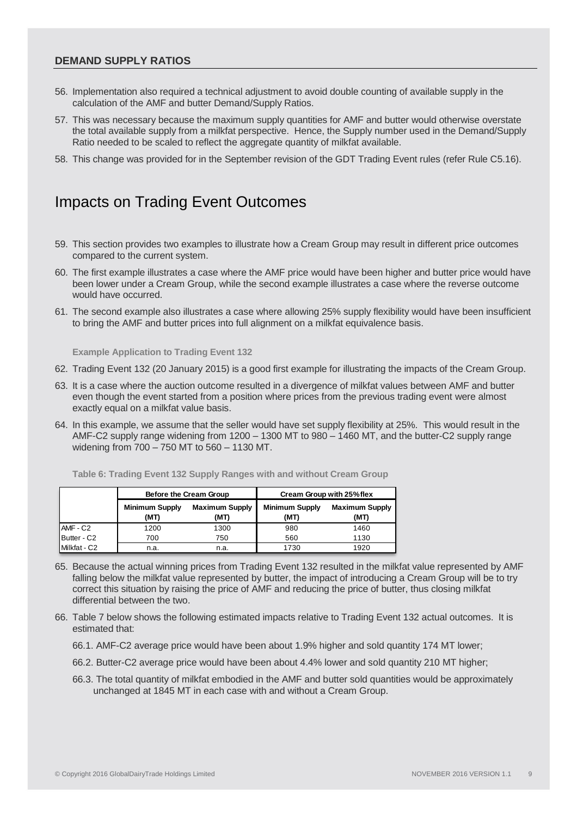#### **DEMAND SUPPLY RATIOS**

- 56. Implementation also required a technical adjustment to avoid double counting of available supply in the calculation of the AMF and butter Demand/Supply Ratios.
- 57. This was necessary because the maximum supply quantities for AMF and butter would otherwise overstate the total available supply from a milkfat perspective. Hence, the Supply number used in the Demand/Supply Ratio needed to be scaled to reflect the aggregate quantity of milkfat available.
- 58. This change was provided for in the September revision of the GDT Trading Event rules (refer Rule C5.16).

# Impacts on Trading Event Outcomes

- 59. This section provides two examples to illustrate how a Cream Group may result in different price outcomes compared to the current system.
- 60. The first example illustrates a case where the AMF price would have been higher and butter price would have been lower under a Cream Group, while the second example illustrates a case where the reverse outcome would have occurred.
- 61. The second example also illustrates a case where allowing 25% supply flexibility would have been insufficient to bring the AMF and butter prices into full alignment on a milkfat equivalence basis.

**Example Application to Trading Event 132**

- 62. Trading Event 132 (20 January 2015) is a good first example for illustrating the impacts of the Cream Group.
- 63. It is a case where the auction outcome resulted in a divergence of milkfat values between AMF and butter even though the event started from a position where prices from the previous trading event were almost exactly equal on a milkfat value basis.
- 64. In this example, we assume that the seller would have set supply flexibility at 25%. This would result in the AMF-C2 supply range widening from 1200 – 1300 MT to 980 – 1460 MT, and the butter-C2 supply range widening from 700 – 750 MT to 560 – 1130 MT.

| Table 6: Trading Event 132 Supply Ranges with and without Cream Group |  |  |  |
|-----------------------------------------------------------------------|--|--|--|
|-----------------------------------------------------------------------|--|--|--|

|              |                               | Before the Cream Group        | Cream Group with 25% flex     |                               |  |  |
|--------------|-------------------------------|-------------------------------|-------------------------------|-------------------------------|--|--|
|              | <b>Minimum Supply</b><br>(MT) | <b>Maximum Supply</b><br>(MT) | <b>Minimum Supply</b><br>(MT) | <b>Maximum Supply</b><br>(MT) |  |  |
| $AMF - C2$   | 1200                          | 1300                          | 980                           | 1460                          |  |  |
| Butter - C2  | 700                           | 750                           | 560                           | 1130                          |  |  |
| Milkfat - C2 | n.a.                          | n.a.                          | 1730                          | 1920                          |  |  |

- 65. Because the actual winning prices from Trading Event 132 resulted in the milkfat value represented by AMF falling below the milkfat value represented by butter, the impact of introducing a Cream Group will be to try correct this situation by raising the price of AMF and reducing the price of butter, thus closing milkfat differential between the two.
- 66. Table 7 below shows the following estimated impacts relative to Trading Event 132 actual outcomes. It is estimated that:
	- 66.1. AMF-C2 average price would have been about 1.9% higher and sold quantity 174 MT lower;
	- 66.2. Butter-C2 average price would have been about 4.4% lower and sold quantity 210 MT higher;
	- 66.3. The total quantity of milkfat embodied in the AMF and butter sold quantities would be approximately unchanged at 1845 MT in each case with and without a Cream Group.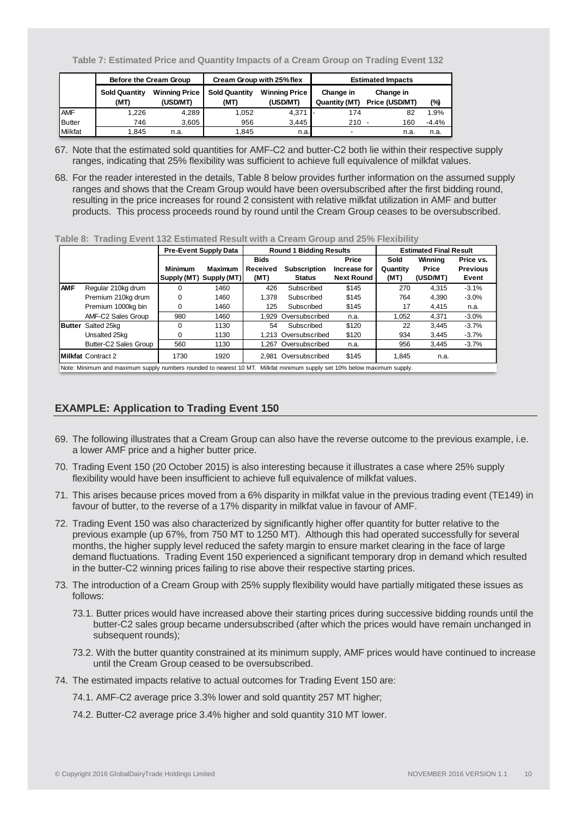**Table 7: Estimated Price and Quantity Impacts of a Cream Group on Trading Event 132**

|               |                              | Before the Cream Group           |                              | Cream Group with 25% flex        | <b>Estimated Impacts</b>   |                             |         |  |
|---------------|------------------------------|----------------------------------|------------------------------|----------------------------------|----------------------------|-----------------------------|---------|--|
|               | <b>Sold Quantity</b><br>(MT) | <b>Winning Price</b><br>(USD/MT) | <b>Sold Quantity</b><br>(MT) | <b>Winning Price</b><br>(USD/MT) | Change in<br>Quantity (MT) | Change in<br>Price (USD/MT) | (%)     |  |
| <b>AMF</b>    | 1.226                        | 4.289                            | 1.052                        | $4.371$ -                        | 174                        | 82                          | 1.9%    |  |
| <b>Butter</b> | 746                          | 3.605                            | 956                          | 3.445                            | $210 -$                    | 160                         | $-4.4%$ |  |
| Milkfat       | 1.845                        | n.a.                             | 1.845                        | n.a.                             | $\overline{\phantom{0}}$   | n.a                         | n.a.    |  |

- 67. Note that the estimated sold quantities for AMF-C2 and butter-C2 both lie within their respective supply ranges, indicating that 25% flexibility was sufficient to achieve full equivalence of milkfat values.
- 68. For the reader interested in the details, Table 8 below provides further information on the assumed supply ranges and shows that the Cream Group would have been oversubscribed after the first bidding round, resulting in the price increases for round 2 consistent with relative milkfat utilization in AMF and butter products. This process proceeds round by round until the Cream Group ceases to be oversubscribed.

#### **Table 8: Trading Event 132 Estimated Result with a Cream Group and 25% Flexibility**

|               |                                                                                                                         |                | <b>Pre-Event Supply Data</b> |             | <b>Round 1 Bidding Results</b> |                   |          | <b>Estimated Final Result</b> |                 |
|---------------|-------------------------------------------------------------------------------------------------------------------------|----------------|------------------------------|-------------|--------------------------------|-------------------|----------|-------------------------------|-----------------|
|               |                                                                                                                         |                |                              | <b>Bids</b> |                                | Price             | Sold     | Winning                       | Price vs.       |
|               |                                                                                                                         | <b>Minimum</b> | <b>Maximum</b>               | Received    | <b>Subscription</b>            | Increase for      | Quantity | Price                         | <b>Previous</b> |
|               |                                                                                                                         | Supply (MT)    | Supply (MT)                  | (MT)        | <b>Status</b>                  | <b>Next Round</b> | (MT)     | (USD/MT)                      | Event           |
| <b>AMF</b>    | Regular 210kg drum                                                                                                      |                | 1460                         | 426         | Subscribed                     | \$145             | 270      | 4.315                         | $-3.1%$         |
|               | Premium 210kg drum                                                                                                      | 0              | 1460                         | 1.378       | Subscribed                     | \$145             | 764      | 4.390                         | $-3.0%$         |
|               | Premium 1000kg bin                                                                                                      | $\Omega$       | 1460                         | 125         | Subscribed                     | \$145             | 17       | 4.415                         | n.a.            |
|               | AMF-C2 Sales Group                                                                                                      | 980            | 1460                         | 1.929       | Oversubscribed                 | n.a.              | 1,052    | 4,371                         | $-3.0%$         |
| <b>Butter</b> | Salted 25kg                                                                                                             | $\Omega$       | 1130                         | 54          | Subscribed                     | \$120             | 22       | 3.445                         | $-3.7%$         |
|               | Unsalted 25kg                                                                                                           | 0              | 1130                         |             | 1.213 Oversubscribed           | \$120             | 934      | 3.445                         | $-3.7%$         |
|               | Butter-C2 Sales Group                                                                                                   | 560            | 1130                         |             | 1.267 Oversubscribed           | n.a.              | 956      | 3.445                         | $-3.7%$         |
|               | <b>IMilkfat Contract 2</b>                                                                                              | 1730           | 1920                         |             | 2.981 Oversubscribed           | \$145             | 1.845    | n.a.                          |                 |
|               | Note: Minimum and maximum supply numbers rounded to nearest 10 MT. Milkfat minimum supply set 10% below maximum supply. |                |                              |             |                                |                   |          |                               |                 |

## **EXAMPLE: Application to Trading Event 150**

- 69. The following illustrates that a Cream Group can also have the reverse outcome to the previous example, i.e. a lower AMF price and a higher butter price.
- 70. Trading Event 150 (20 October 2015) is also interesting because it illustrates a case where 25% supply flexibility would have been insufficient to achieve full equivalence of milkfat values.
- 71. This arises because prices moved from a 6% disparity in milkfat value in the previous trading event (TE149) in favour of butter, to the reverse of a 17% disparity in milkfat value in favour of AMF.
- 72. Trading Event 150 was also characterized by significantly higher offer quantity for butter relative to the previous example (up 67%, from 750 MT to 1250 MT). Although this had operated successfully for several months, the higher supply level reduced the safety margin to ensure market clearing in the face of large demand fluctuations. Trading Event 150 experienced a significant temporary drop in demand which resulted in the butter-C2 winning prices failing to rise above their respective starting prices.
- 73. The introduction of a Cream Group with 25% supply flexibility would have partially mitigated these issues as follows:
	- 73.1. Butter prices would have increased above their starting prices during successive bidding rounds until the butter-C2 sales group became undersubscribed (after which the prices would have remain unchanged in subsequent rounds);
	- 73.2. With the butter quantity constrained at its minimum supply, AMF prices would have continued to increase until the Cream Group ceased to be oversubscribed.
- 74. The estimated impacts relative to actual outcomes for Trading Event 150 are:
	- 74.1. AMF-C2 average price 3.3% lower and sold quantity 257 MT higher;
	- 74.2. Butter-C2 average price 3.4% higher and sold quantity 310 MT lower.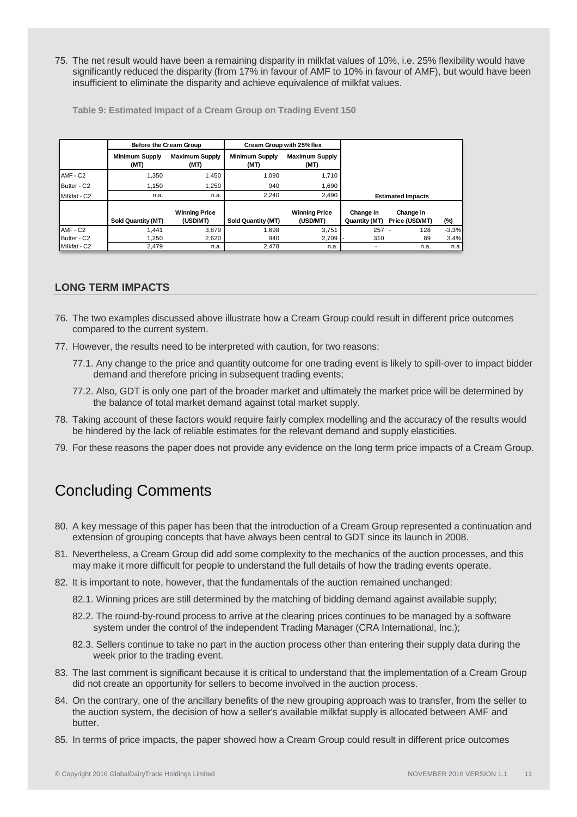75. The net result would have been a remaining disparity in milkfat values of 10%, i.e. 25% flexibility would have significantly reduced the disparity (from 17% in favour of AMF to 10% in favour of AMF), but would have been insufficient to eliminate the disparity and achieve equivalence of milkfat values.

**Table 9: Estimated Impact of a Cream Group on Trading Event 150**

|                      | Before the Cream Group        |                                  | Cream Group with 25% flex     |                                  |                            |                             |         |
|----------------------|-------------------------------|----------------------------------|-------------------------------|----------------------------------|----------------------------|-----------------------------|---------|
|                      | <b>Minimum Supply</b><br>(MT) | <b>Maximum Supply</b><br>(MT)    | <b>Minimum Supply</b><br>(MT) | <b>Maximum Supply</b><br>(MT)    |                            |                             |         |
| AMF - C2             | 1.350                         | 1.450                            | 1.090                         | 1.710                            |                            |                             |         |
| Butter - C2          | 1.150                         | 1.250                            | 940                           | 1,690                            |                            |                             |         |
| Milkfat - C2         | n.a.                          | n.a.                             | 2.240                         | 2,490                            |                            | <b>Estimated Impacts</b>    |         |
|                      | <b>Sold Quantity (MT)</b>     | <b>Winning Price</b><br>(USD/MT) | Sold Quantity (MT)            | <b>Winning Price</b><br>(USD/MT) | Change in<br>Quantity (MT) | Change in<br>Price (USD/MT) | (%)     |
| AMF - C <sub>2</sub> | 1.441                         | 3.879                            | 1.698                         | 3.751                            | 257                        | 128                         | $-3.3%$ |
| Butter - C2          | 1.250                         | 2,620                            | 940                           | 2,709                            | 310                        | 89                          | 3.4%    |
| Milkfat - C2         | 2.479                         | n.a.                             | 2.478                         | n.a.                             |                            | n.a.                        | n.a.    |

#### **LONG TERM IMPACTS**

- 76. The two examples discussed above illustrate how a Cream Group could result in different price outcomes compared to the current system.
- 77. However, the results need to be interpreted with caution, for two reasons:
	- 77.1. Any change to the price and quantity outcome for one trading event is likely to spill-over to impact bidder demand and therefore pricing in subsequent trading events;
	- 77.2. Also, GDT is only one part of the broader market and ultimately the market price will be determined by the balance of total market demand against total market supply.
- 78. Taking account of these factors would require fairly complex modelling and the accuracy of the results would be hindered by the lack of reliable estimates for the relevant demand and supply elasticities.
- 79. For these reasons the paper does not provide any evidence on the long term price impacts of a Cream Group.

# Concluding Comments

- 80. A key message of this paper has been that the introduction of a Cream Group represented a continuation and extension of grouping concepts that have always been central to GDT since its launch in 2008.
- 81. Nevertheless, a Cream Group did add some complexity to the mechanics of the auction processes, and this may make it more difficult for people to understand the full details of how the trading events operate.
- 82. It is important to note, however, that the fundamentals of the auction remained unchanged:
	- 82.1. Winning prices are still determined by the matching of bidding demand against available supply;
	- 82.2. The round-by-round process to arrive at the clearing prices continues to be managed by a software system under the control of the independent Trading Manager (CRA International, Inc.);
	- 82.3. Sellers continue to take no part in the auction process other than entering their supply data during the week prior to the trading event.
- 83. The last comment is significant because it is critical to understand that the implementation of a Cream Group did not create an opportunity for sellers to become involved in the auction process.
- 84. On the contrary, one of the ancillary benefits of the new grouping approach was to transfer, from the seller to the auction system, the decision of how a seller's available milkfat supply is allocated between AMF and butter.
- 85. In terms of price impacts, the paper showed how a Cream Group could result in different price outcomes